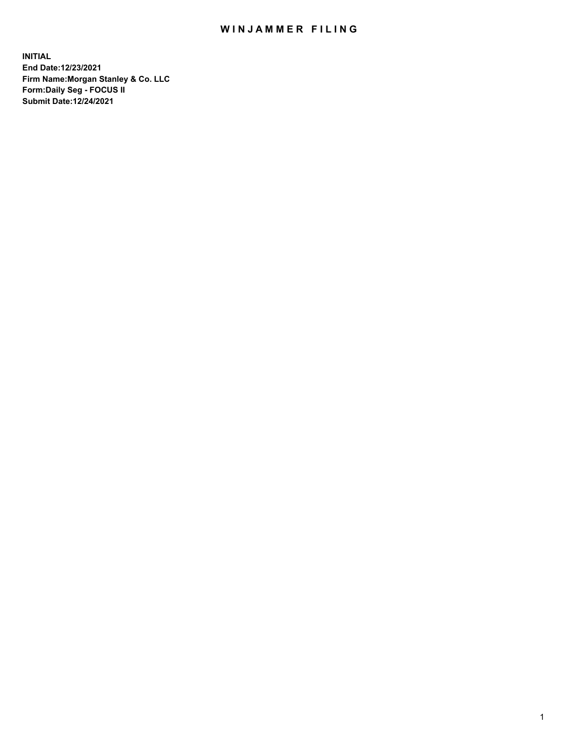## WIN JAMMER FILING

**INITIAL End Date:12/23/2021 Firm Name:Morgan Stanley & Co. LLC Form:Daily Seg - FOCUS II Submit Date:12/24/2021**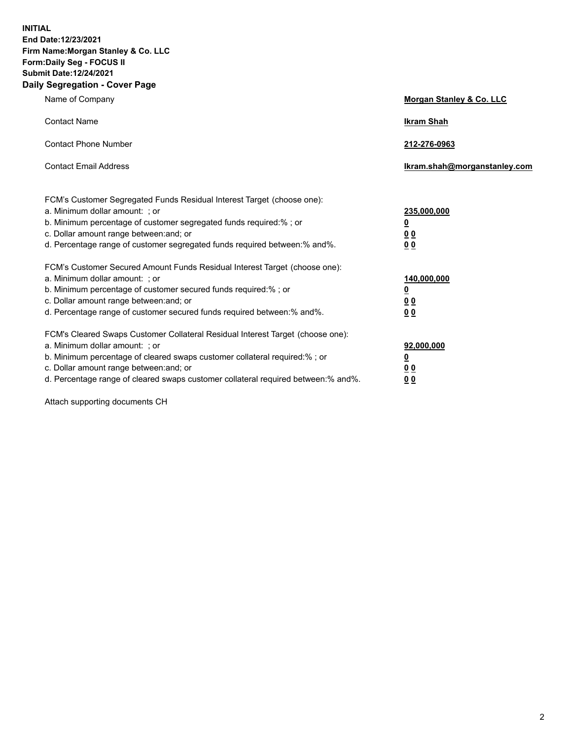**INITIAL End Date:12/23/2021 Firm Name:Morgan Stanley & Co. LLC Form:Daily Seg - FOCUS II Submit Date:12/24/2021 Daily Segregation - Cover Page**

| Name of Company                                                                                                                                                                                                                                                                                                               | Morgan Stanley & Co. LLC                               |
|-------------------------------------------------------------------------------------------------------------------------------------------------------------------------------------------------------------------------------------------------------------------------------------------------------------------------------|--------------------------------------------------------|
| <b>Contact Name</b>                                                                                                                                                                                                                                                                                                           | <b>Ikram Shah</b>                                      |
| <b>Contact Phone Number</b>                                                                                                                                                                                                                                                                                                   | 212-276-0963                                           |
| <b>Contact Email Address</b>                                                                                                                                                                                                                                                                                                  | Ikram.shah@morganstanley.com                           |
| FCM's Customer Segregated Funds Residual Interest Target (choose one):<br>a. Minimum dollar amount: ; or<br>b. Minimum percentage of customer segregated funds required:% ; or<br>c. Dollar amount range between: and; or<br>d. Percentage range of customer segregated funds required between:% and%.                        | 235,000,000<br><u>0</u><br><u>00</u><br>0 <sup>0</sup> |
| FCM's Customer Secured Amount Funds Residual Interest Target (choose one):<br>a. Minimum dollar amount: ; or<br>b. Minimum percentage of customer secured funds required:%; or<br>c. Dollar amount range between: and; or<br>d. Percentage range of customer secured funds required between:% and%.                           | 140,000,000<br><u>0</u><br><u>00</u><br>0 <sub>0</sub> |
| FCM's Cleared Swaps Customer Collateral Residual Interest Target (choose one):<br>a. Minimum dollar amount: ; or<br>b. Minimum percentage of cleared swaps customer collateral required:%; or<br>c. Dollar amount range between: and; or<br>d. Percentage range of cleared swaps customer collateral required between:% and%. | 92,000,000<br><u>0</u><br>0 Q<br>00                    |

Attach supporting documents CH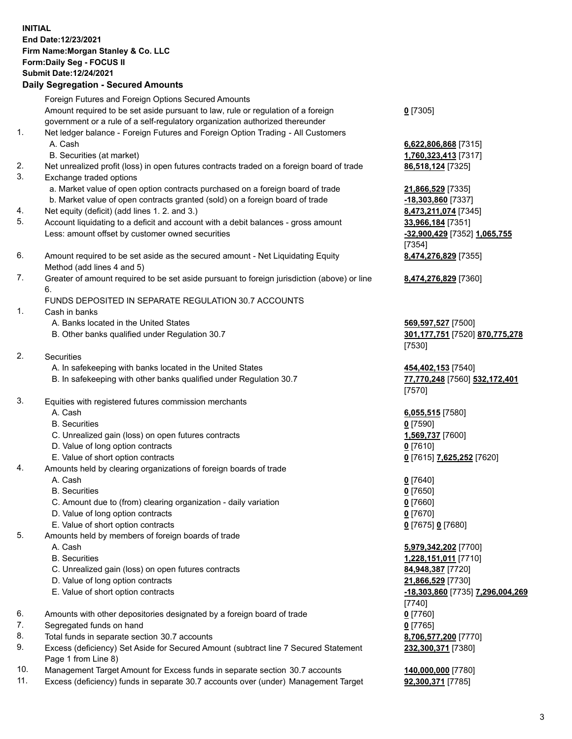## **INITIAL End Date:12/23/2021 Firm Name:Morgan Stanley & Co. LLC Form:Daily Seg - FOCUS II Submit Date:12/24/2021**

**Daily Segregation - Secured Amounts** Foreign Futures and Foreign Options Secured Amounts Amount required to be set aside pursuant to law, rule or regulation of a foreign government or a rule of a self-regulatory organization authorized thereunder 1. Net ledger balance - Foreign Futures and Foreign Option Trading - All Customers A. Cash **6,622,806,868** [7315] B. Securities (at market) **1,760,323,413** [7317] 2. Net unrealized profit (loss) in open futures contracts traded on a foreign board of trade **86,518,124** [7325] 3. Exchange traded options a. Market value of open option contracts purchased on a foreign board of trade **21,866,529** [7335] b. Market value of open contracts granted (sold) on a foreign board of trade **-18,303,860** [7337] 4. Net equity (deficit) (add lines 1. 2. and 3.) **8,473,211,074** [7345] 5. Account liquidating to a deficit and account with a debit balances - gross amount **33,966,184** [7351] Less: amount offset by customer owned securities **-32,900,429** [7352] **1,065,755** 6. Amount required to be set aside as the secured amount - Net Liquidating Equity Method (add lines 4 and 5) 7. Greater of amount required to be set aside pursuant to foreign jurisdiction (above) or line 6. FUNDS DEPOSITED IN SEPARATE REGULATION 30.7 ACCOUNTS 1. Cash in banks A. Banks located in the United States **569,597,527** [7500] B. Other banks qualified under Regulation 30.7 **301,177,751** [7520] **870,775,278** 2. Securities A. In safekeeping with banks located in the United States **454,402,153** [7540] B. In safekeeping with other banks qualified under Regulation 30.7 **77,770,248** [7560] **532,172,401** 3. Equities with registered futures commission merchants A. Cash **6,055,515** [7580] B. Securities **0** [7590] C. Unrealized gain (loss) on open futures contracts **1,569,737** [7600] D. Value of long option contracts **0** [7610] E. Value of short option contracts **0** [7615] **7,625,252** [7620] 4. Amounts held by clearing organizations of foreign boards of trade A. Cash **0** [7640] B. Securities **0** [7650] C. Amount due to (from) clearing organization - daily variation **0** [7660] D. Value of long option contracts **0** [7670] E. Value of short option contracts **0** [7675] **0** [7680] 5. Amounts held by members of foreign boards of trade A. Cash **5,979,342,202** [7700] B. Securities **1,228,151,011** [7710] C. Unrealized gain (loss) on open futures contracts **84,948,387** [7720]

- D. Value of long option contracts **21,866,529** [7730]
- 
- 6. Amounts with other depositories designated by a foreign board of trade **0** [7760]
- 7. Segregated funds on hand **0** [7765]
- 8. Total funds in separate section 30.7 accounts **8,706,577,200** [7770]
- 9. Excess (deficiency) Set Aside for Secured Amount (subtract line 7 Secured Statement Page 1 from Line 8)
- 10. Management Target Amount for Excess funds in separate section 30.7 accounts **140,000,000** [7780]
- 11. Excess (deficiency) funds in separate 30.7 accounts over (under) Management Target **92,300,371** [7785]

**0** [7305]

[7354] **8,474,276,829** [7355]

**8,474,276,829** [7360]

[7530]

[7570]

 E. Value of short option contracts **-18,303,860** [7735] **7,296,004,269** [7740] **232,300,371** [7380]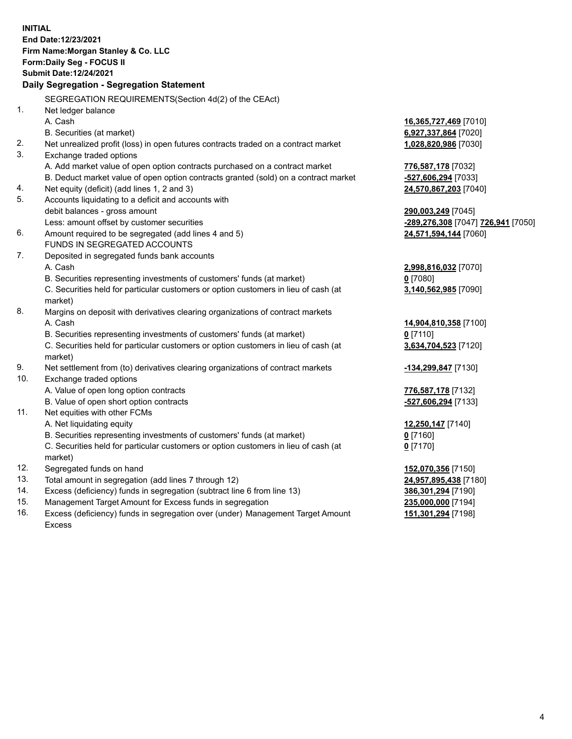**INITIAL End Date:12/23/2021 Firm Name:Morgan Stanley & Co. LLC Form:Daily Seg - FOCUS II Submit Date:12/24/2021 Daily Segregation - Segregation Statement** SEGREGATION REQUIREMENTS(Section 4d(2) of the CEAct) 1. Net ledger balance A. Cash **16,365,727,469** [7010] B. Securities (at market) **6,927,337,864** [7020] 2. Net unrealized profit (loss) in open futures contracts traded on a contract market **1,028,820,986** [7030] 3. Exchange traded options A. Add market value of open option contracts purchased on a contract market **776,587,178** [7032] B. Deduct market value of open option contracts granted (sold) on a contract market **-527,606,294** [7033] 4. Net equity (deficit) (add lines 1, 2 and 3) **24,570,867,203** [7040] 5. Accounts liquidating to a deficit and accounts with debit balances - gross amount **290,003,249** [7045] Less: amount offset by customer securities **-289,276,308** [7047] **726,941** [7050] 6. Amount required to be segregated (add lines 4 and 5) **24,571,594,144** [7060] FUNDS IN SEGREGATED ACCOUNTS 7. Deposited in segregated funds bank accounts A. Cash **2,998,816,032** [7070] B. Securities representing investments of customers' funds (at market) **0** [7080] C. Securities held for particular customers or option customers in lieu of cash (at market) **3,140,562,985** [7090] 8. Margins on deposit with derivatives clearing organizations of contract markets A. Cash **14,904,810,358** [7100] B. Securities representing investments of customers' funds (at market) **0** [7110] C. Securities held for particular customers or option customers in lieu of cash (at market) **3,634,704,523** [7120] 9. Net settlement from (to) derivatives clearing organizations of contract markets **-134,299,847** [7130] 10. Exchange traded options A. Value of open long option contracts **776,587,178** [7132] B. Value of open short option contracts **-527,606,294** [7133] 11. Net equities with other FCMs A. Net liquidating equity **12,250,147** [7140] B. Securities representing investments of customers' funds (at market) **0** [7160] C. Securities held for particular customers or option customers in lieu of cash (at market) **0** [7170] 12. Segregated funds on hand **152,070,356** [7150] 13. Total amount in segregation (add lines 7 through 12) **24,957,895,438** [7180] 14. Excess (deficiency) funds in segregation (subtract line 6 from line 13) **386,301,294** [7190] 15. Management Target Amount for Excess funds in segregation **235,000,000** [7194] **151,301,294** [7198]

16. Excess (deficiency) funds in segregation over (under) Management Target Amount Excess